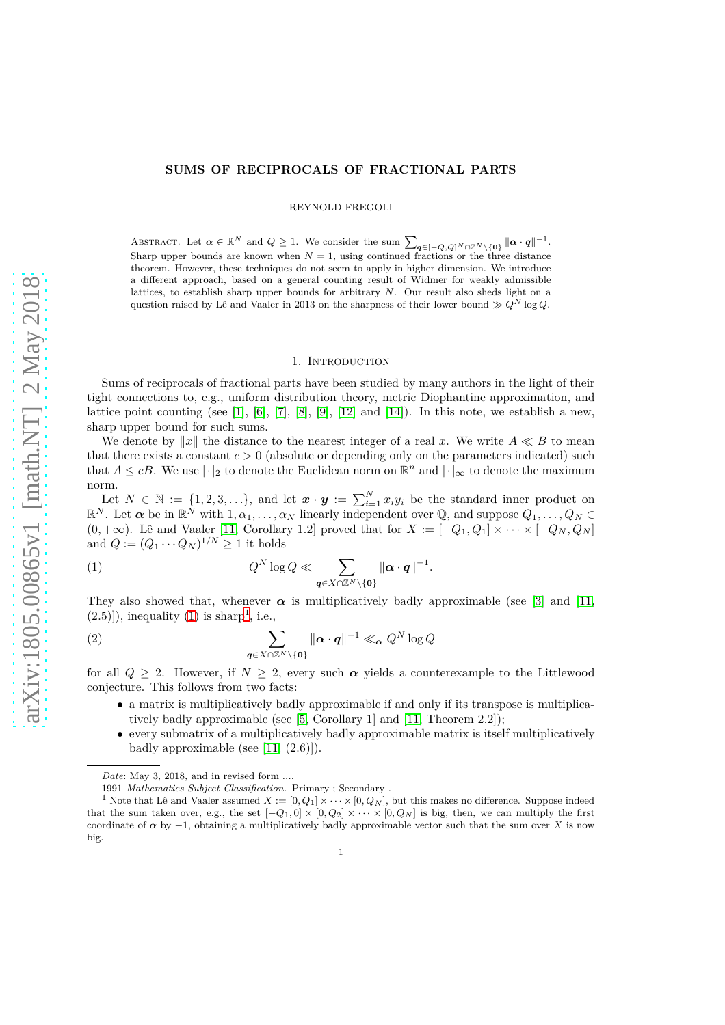## **SUMS OF RECIPROCALS OF FRACTIONAL PARTS**

REYNOLD FREGOLI

ABSTRACT. Let  $\alpha \in \mathbb{R}^N$  and  $Q \geq 1$ . We consider the sum  $\sum_{\mathbf{q} \in [-Q,Q]^N \cap \mathbb{Z}^N \setminus \{\mathbf{0}\}} ||\alpha \cdot \mathbf{q}||^{-1}$ . Sharp upper bounds are known when  $N = 1$ , using continued fractions or the three distance theorem. However, these techniques do not seem to apply in higher dimension. We introduce a different approach, based on a general counting result of Widmer for weakly admissible lattices, to establish sharp upper bounds for arbitrary *N*. Our result also sheds light on a question raised by Lê and Vaaler in 2013 on the sharpness of their lower bound  $\gg Q^N \log Q$ .

#### 1. INTRODUCTION

Sums of reciprocals of fractional parts have been studied by many authors in the light of their tight connections to, e.g., uniform distribution theory, metric Diophantine approximation, and lattice point counting (see [\[1\]](#page-6-0), [\[6\]](#page-6-1), [\[7\]](#page-6-2), [\[8\]](#page-6-3), [\[9\]](#page-6-4), [\[12\]](#page-6-5) and [\[14\]](#page-6-6)). In this note, we establish a new, sharp upper bound for such sums.

We denote by  $||x||$  the distance to the nearest integer of a real x. We write  $A \ll B$  to mean that there exists a constant  $c > 0$  (absolute or depending only on the parameters indicated) such that  $A \leq cB$ . We use  $|\cdot|_2$  to denote the Euclidean norm on  $\mathbb{R}^n$  and  $|\cdot|_{\infty}$  to denote the maximum norm.

Let  $N \in \mathbb{N} := \{1, 2, 3, \ldots\}$ , and let  $\boldsymbol{x} \cdot \boldsymbol{y} := \sum_{i=1}^{N} x_i y_i$  be the standard inner product on  $\mathbb{R}^N$ . Let  $\alpha$  be in  $\mathbb{R}^N$  with  $1, \alpha_1, \ldots, \alpha_N$  linearly independent over  $\mathbb{Q}$ , and suppose  $Q_1, \ldots, Q_N \in$ (0*,* +∞). Lê and Vaaler [\[11,](#page-6-7) Corollary 1.2] proved that for *X* := [−*Q*1*, Q*1] × · · · × [−*Q<sup>N</sup> , Q<sup>N</sup>* ] and  $Q := (Q_1 \cdots Q_N)^{1/N} \geq 1$  it holds

<span id="page-0-0"></span>(1) 
$$
Q^N \log Q \ll \sum_{\mathbf{q} \in X \cap \mathbb{Z}^N \setminus \{\mathbf{0}\}} \|\mathbf{\alpha} \cdot \mathbf{q}\|^{-1}.
$$

They also showed that, whenever  $\alpha$  is multiplicatively badly approximable (see [\[3\]](#page-6-8) and [\[11,](#page-6-7)  $(2.5)$ ]), inequality  $(1)$  $(1)$  $(1)$  is sharp<sup>1</sup>, i.e.,

<span id="page-0-2"></span>(2) 
$$
\sum_{\mathbf{q}\in X\cap\mathbb{Z}^N\backslash\{\mathbf{0}\}}\|\boldsymbol{\alpha}\cdot\boldsymbol{q}\|^{-1}\ll_{\boldsymbol{\alpha}}Q^N\log Q
$$

for all  $Q > 2$ . However, if  $N > 2$ , every such  $\alpha$  yields a counterexample to the Littlewood conjecture. This follows from two facts:

- a matrix is multiplicatively badly approximable if and only if its transpose is multiplicatively badly approximable (see [\[5,](#page-6-9) Corollary 1] and [\[11,](#page-6-7) Theorem 2.2]);
- every submatrix of a multiplicatively badly approximable matrix is itself multiplicatively badly approximable (see  $[11, (2.6)]$ ).

*Date*: May 3, 2018, and in revised form ....

<span id="page-0-1"></span><sup>1991</sup> *Mathematics Subject Classification.* Primary ; Secondary .

<sup>&</sup>lt;sup>1</sup> Note that Lê and Vaaler assumed  $X := [0, Q_1] \times \cdots \times [0, Q_N]$ , but this makes no difference. Suppose indeed that the sum taken over, e.g., the set  $[-Q_1, 0] \times [0, Q_2] \times \cdots \times [0, Q_N]$  is big, then, we can multiply the first coordinate of  $\alpha$  by  $-1$ , obtaining a multiplicatively badly approximable vector such that the sum over *X* is now big.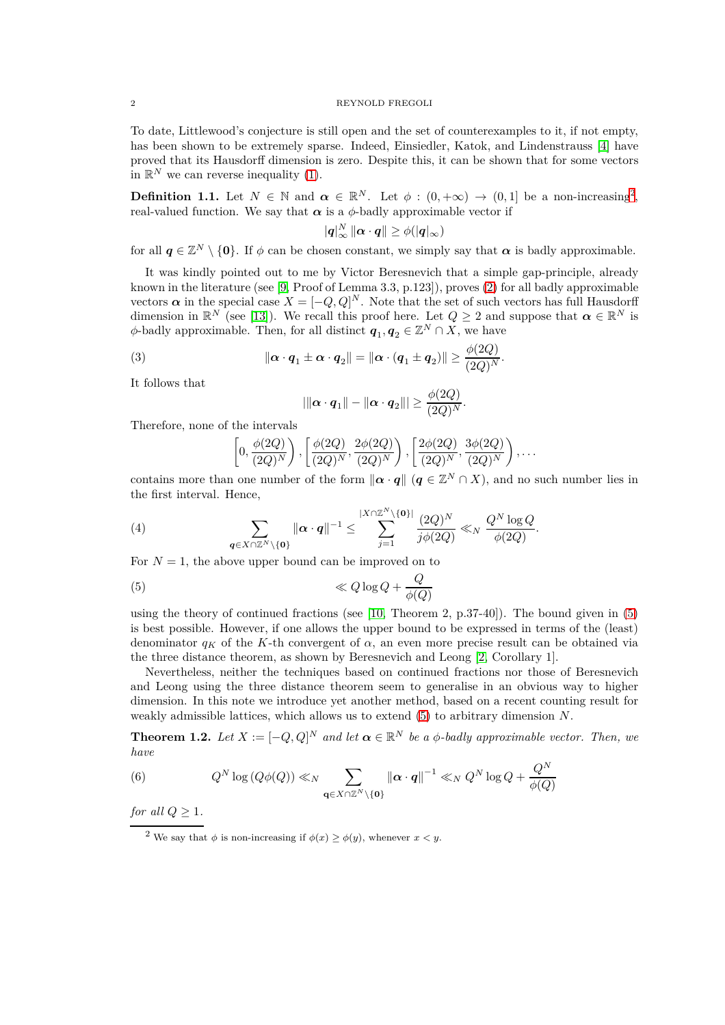### 2 REYNOLD FREGOLI

To date, Littlewood's conjecture is still open and the set of counterexamples to it, if not empty, has been shown to be extremely sparse. Indeed, Einsiedler, Katok, and Lindenstrauss [\[4\]](#page-6-10) have proved that its Hausdorff dimension is zero. Despite this, it can be shown that for some vectors in  $\mathbb{R}^N$  we can reverse inequality [\(1\)](#page-0-0).

**Definition 1.1.** Let  $N \in \mathbb{N}$  and  $\alpha \in \mathbb{R}^N$ . Let  $\phi : (0, +\infty) \to (0, 1]$  be a non-increasing<sup>[2](#page-1-0)</sup>, real-valued function. We say that  $\alpha$  is a  $\phi$ -badly approximable vector if

$$
\|\boldsymbol{q}\|_\infty^N\,\|\boldsymbol{\alpha}\cdot\boldsymbol{q}\|\geq \phi(|\boldsymbol{q}|_\infty)
$$

for all  $q \in \mathbb{Z}^N \setminus \{0\}$ . If  $\phi$  can be chosen constant, we simply say that  $\alpha$  is badly approximable.

It was kindly pointed out to me by Victor Beresnevich that a simple gap-principle, already known in the literature (see [\[9,](#page-6-4) Proof of Lemma 3.3, p.123]), proves [\(2\)](#page-0-2) for all badly approximable vectors  $\alpha$  in the special case  $X = [-Q, Q]^N$ . Note that the set of such vectors has full Hausdorff dimension in  $\mathbb{R}^N$  (see [\[13\]](#page-6-11)). We recall this proof here. Let  $Q \geq 2$  and suppose that  $\alpha \in \mathbb{R}^N$  is  $\phi$ -badly approximable. Then, for all distinct  $q_1, q_2 \in \mathbb{Z}^N \cap X$ , we have

(3) 
$$
\|\boldsymbol{\alpha}\cdot\boldsymbol{q}_1\pm\boldsymbol{\alpha}\cdot\boldsymbol{q}_2\|=\|\boldsymbol{\alpha}\cdot(\boldsymbol{q}_1\pm\boldsymbol{q}_2)\|\geq \frac{\phi(2Q)}{(2Q)^N}.
$$

It follows that

$$
|\|\boldsymbol{\alpha}\cdot \boldsymbol{q}_1\|-\|\boldsymbol{\alpha}\cdot \boldsymbol{q}_2\|| \geq \frac{\phi(2Q)}{(2Q)^N}.
$$

Therefore, none of the intervals

$$
\left[0, \frac{\phi(2Q)}{(2Q)^N}\right), \left[\frac{\phi(2Q)}{(2Q)^N}, \frac{2\phi(2Q)}{(2Q)^N}\right), \left[\frac{2\phi(2Q)}{(2Q)^N}, \frac{3\phi(2Q)}{(2Q)^N}\right), \dots
$$

contains more than one number of the form  $\|\alpha \cdot q\|$  ( $q \in \mathbb{Z}^N \cap X$ ), and no such number lies in the first interval. Hence,

(4) 
$$
\sum_{\mathbf{q}\in X\cap\mathbb{Z}^N\backslash\{\mathbf{0}\}}\|\boldsymbol{\alpha}\cdot\boldsymbol{q}\|^{-1}\leq \sum_{j=1}^{|X\cap\mathbb{Z}^N\backslash\{\mathbf{0}\}|}\frac{(2Q)^N}{j\phi(2Q)}\ll_N\frac{Q^N\log Q}{\phi(2Q)}.
$$

For  $N = 1$ , the above upper bound can be improved on to

<span id="page-1-1"></span>
$$
\ll Q \log Q + \frac{Q}{\phi(Q)}
$$

using the theory of continued fractions (see  $[10,$  Theorem 2, p.37-40]). The bound given in  $(5)$ is best possible. However, if one allows the upper bound to be expressed in terms of the (least) denominator  $q_K$  of the K-th convergent of  $\alpha$ , an even more precise result can be obtained via the three distance theorem, as shown by Beresnevich and Leong [\[2,](#page-6-13) Corollary 1].

Nevertheless, neither the techniques based on continued fractions nor those of Beresnevich and Leong using the three distance theorem seem to generalise in an obvious way to higher dimension. In this note we introduce yet another method, based on a recent counting result for weakly admissible lattices, which allows us to extend [\(5\)](#page-1-1) to arbitrary dimension *N*.

<span id="page-1-2"></span>**Theorem 1.2.** *Let*  $X := [-Q, Q]^N$  *and let*  $\boldsymbol{\alpha} \in \mathbb{R}^N$  *be a*  $\phi$ *-badly approximable vector. Then, we have*  $\overline{M}$ 

<span id="page-1-3"></span>(6) 
$$
Q^N \log (Q\phi(Q)) \ll_N \sum_{\mathbf{q} \in X \cap \mathbb{Z}^N \setminus \{\mathbf{0}\}} \|\mathbf{\alpha} \cdot \mathbf{q}\|^{-1} \ll_N Q^N \log Q + \frac{Q^N}{\phi(Q)}
$$

*for all*  $Q \geq 1$ *.* 

<span id="page-1-0"></span><sup>&</sup>lt;sup>2</sup> We say that  $\phi$  is non-increasing if  $\phi(x) \ge \phi(y)$ , whenever  $x < y$ .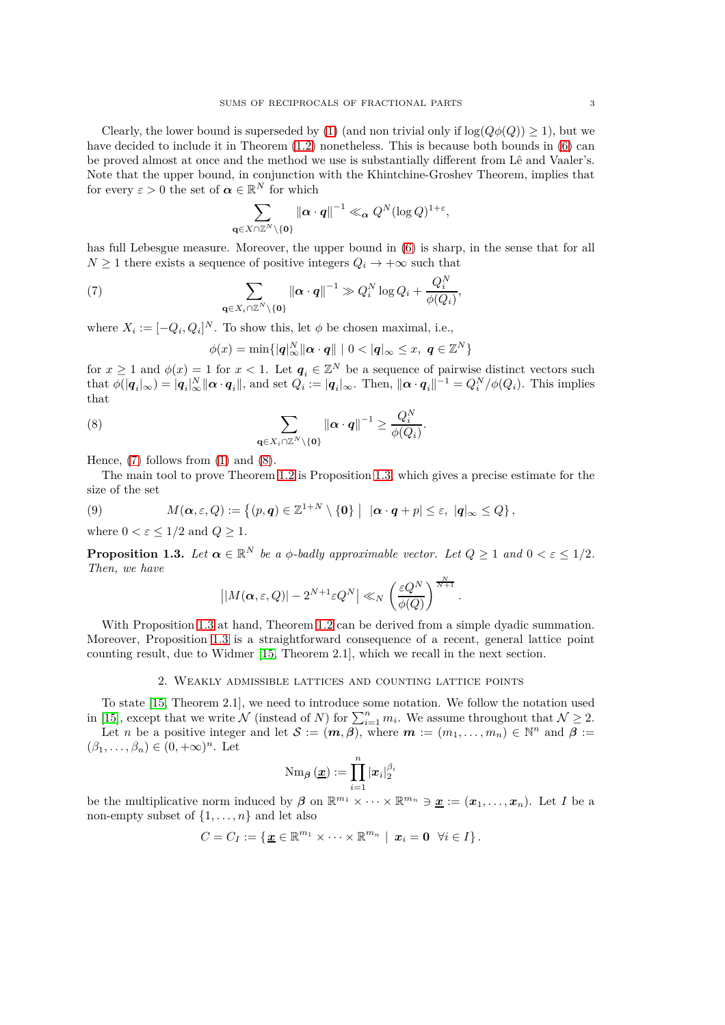Clearly, the lower bound is superseded by [\(1\)](#page-0-0) (and non trivial only if  $log(Q\phi(Q)) \geq 1$ ), but we have decided to include it in Theorem  $(1.2)$  nonetheless. This is because both bounds in  $(6)$  can be proved almost at once and the method we use is substantially different from Lê and Vaaler's. Note that the upper bound, in conjunction with the Khintchine-Groshev Theorem, implies that for every  $\varepsilon > 0$  the set of  $\boldsymbol{\alpha} \in \mathbb{R}^N$  for which

$$
\sum_{\mathbf{q}\in X\cap\mathbb{Z}^N\backslash\{\mathbf{0}\}}\left\|\boldsymbol{\alpha}\cdot\boldsymbol{q}\right\|^{-1}\ll_{\boldsymbol{\alpha}} Q^N(\log Q)^{1+\varepsilon},
$$

has full Lebesgue measure. Moreover, the upper bound in  $(6)$  is sharp, in the sense that for all  $N \geq 1$  there exists a sequence of positive integers  $Q_i \to +\infty$  such that

(7) 
$$
\sum_{\mathbf{q}\in X_i\cap\mathbb{Z}^N\backslash\{\mathbf{0}\}}\left\|\boldsymbol{\alpha}\cdot\boldsymbol{q}\right\|^{-1}\gg Q_i^N\log Q_i+\frac{Q_i^N}{\phi(Q_i)},
$$

where  $X_i := [-Q_i, Q_i]^N$ . To show this, let  $\phi$  be chosen maximal, i.e.,

<span id="page-2-1"></span><span id="page-2-0"></span>
$$
\phi(x) = \min\{|\mathbf{q}|_{\infty}^N ||\mathbf{\alpha} \cdot \mathbf{q}|| \mid 0 < |\mathbf{q}|_{\infty} \le x, \ \mathbf{q} \in \mathbb{Z}^N\}
$$

for  $x \ge 1$  and  $\phi(x) = 1$  for  $x < 1$ . Let  $q_i \in \mathbb{Z}^N$  be a sequence of pairwise distinct vectors such that  $\phi(|q_i|_{\infty}) = |q_i|_{\infty}^N ||\boldsymbol{\alpha} \cdot \boldsymbol{q}_i||$ , and set  $Q_i := |q_i|_{\infty}$ . Then,  $||\boldsymbol{\alpha} \cdot \boldsymbol{q}_i||^{-1} = Q_i^N / \phi(Q_i)$ . This implies that

(8) 
$$
\sum_{\mathbf{q}\in X_i\cap\mathbb{Z}^N\backslash\{\mathbf{0}\}}\|\boldsymbol{\alpha}\cdot\boldsymbol{q}\|^{-1}\geq\frac{Q_i^N}{\phi(Q_i)}.
$$

Hence,  $(7)$  follows from  $(1)$  and  $(8)$ .

The main tool to prove Theorem [1.2](#page-1-2) is Proposition [1.3,](#page-2-2) which gives a precise estimate for the size of the set

(9) 
$$
M(\boldsymbol{\alpha},\varepsilon,Q):=\left\{(p,\boldsymbol{q})\in\mathbb{Z}^{1+N}\setminus\{\boldsymbol{0}\}\,\middle|\,\ |\boldsymbol{\alpha}\cdot\boldsymbol{q}+p|\leq\varepsilon,\ |\boldsymbol{q}|_{\infty}\leq Q\right\},
$$

where  $0 < \varepsilon \leq 1/2$  and  $Q \geq 1$ .

<span id="page-2-2"></span>**Proposition 1.3.** *Let*  $\boldsymbol{\alpha} \in \mathbb{R}^N$  *be a*  $\phi$ *-badly approximable vector. Let*  $Q \geq 1$  *and*  $0 < \varepsilon \leq 1/2$ *. Then, we have*

$$
\left| \left| M(\boldsymbol{\alpha},\varepsilon,Q) \right| - 2^{N+1} \varepsilon Q^N \right| \ll_N \left( \frac{\varepsilon Q^N}{\phi(Q)} \right)^{\frac{N}{N+1}}.
$$

With Proposition [1.3](#page-2-2) at hand, Theorem [1.2](#page-1-2) can be derived from a simple dyadic summation. Moreover, Proposition [1.3](#page-2-2) is a straightforward consequence of a recent, general lattice point counting result, due to Widmer [\[15,](#page-6-14) Theorem 2.1], which we recall in the next section.

# 2. Weakly admissible lattices and counting lattice points

To state [\[15,](#page-6-14) Theorem 2.1], we need to introduce some notation. We follow the notation used in [\[15\]](#page-6-14), except that we write  $N$  (instead of *N*) for  $\sum_{i=1}^{n} m_i$ . We assume throughout that  $N \geq 2$ .

Let *n* be a positive integer and let  $S := (m, \beta)$ , where  $m := (m_1, \ldots, m_n) \in \mathbb{N}^n$  and  $\beta :=$  $(\beta_1, \ldots, \beta_n) \in (0, +\infty)^n$ . Let

$$
\operatorname{Nm}_{\boldsymbol\beta}({\boldsymbol{\underline{x}}}) := \prod_{i=1}^n |{\boldsymbol{x}}_i|_2^{\beta_i}
$$

be the multiplicative norm induced by  $\beta$  on  $\mathbb{R}^{m_1} \times \cdots \times \mathbb{R}^{m_n} \ni \underline{x} := (\underline{x}_1, \ldots, \underline{x}_n)$ . Let *I* be a non-empty subset of  $\{1, \ldots, n\}$  and let also

$$
C=C_I:=\left\{\underline{\boldsymbol{x}}\in\mathbb{R}^{m_1}\times\cdots\times\mathbb{R}^{m_n}\mid \, \boldsymbol{x}_i=\boldsymbol{0} \ \ \forall i\in I\right\}.
$$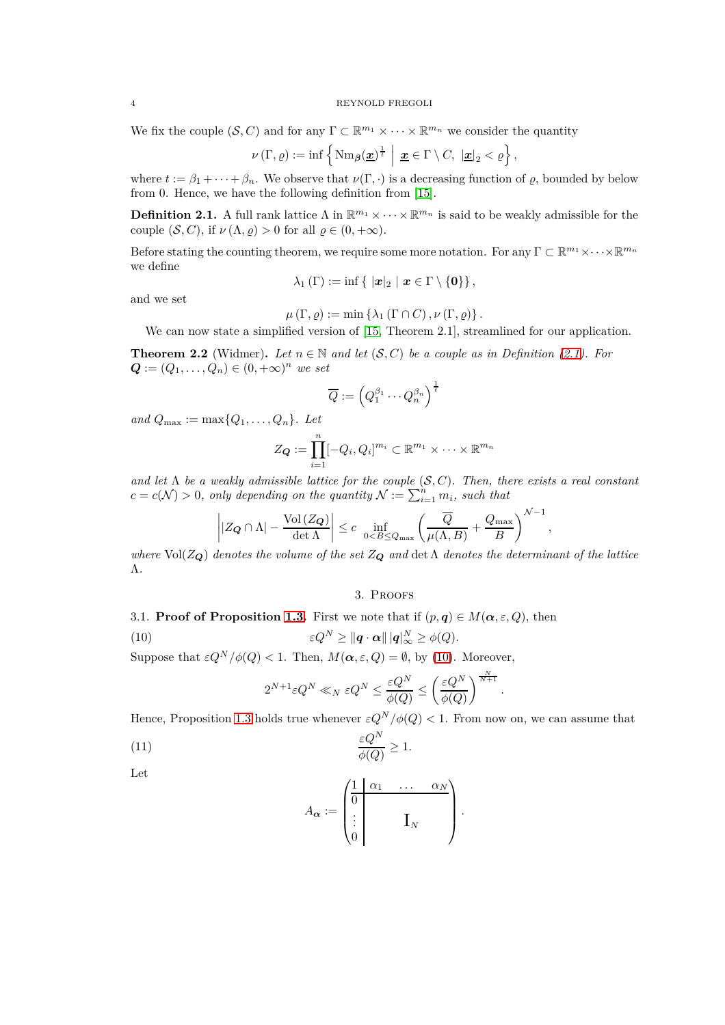## 4 REYNOLD FREGOLI

We fix the couple  $(S, C)$  and for any  $\Gamma \subset \mathbb{R}^{m_1} \times \cdots \times \mathbb{R}^{m_n}$  we consider the quantity

$$
\nu(\Gamma,\varrho):=\inf\left\{\mathrm{Nm}_{\beta}(\underline{x})^{\frac{1}{t}}\,\,\Big|\,\,\underline{x}\in\Gamma\setminus C,\,\,\underline{|x|}_2<\varrho\right\},\,
$$

where  $t := \beta_1 + \cdots + \beta_n$ . We observe that  $\nu(\Gamma, \cdot)$  is a decreasing function of  $\varrho$ , bounded by below from 0. Hence, we have the following definition from [\[15\]](#page-6-14).

<span id="page-3-0"></span>**Definition 2.1.** A full rank lattice  $\Lambda$  in  $\mathbb{R}^{m_1} \times \cdots \times \mathbb{R}^{m_n}$  is said to be weakly admissible for the couple  $(S, C)$ , if  $\nu(\Lambda, \varrho) > 0$  for all  $\varrho \in (0, +\infty)$ .

Before stating the counting theorem, we require some more notation. For any  $\Gamma \subset \mathbb{R}^{m_1} \times \cdots \times \mathbb{R}^{m_n}$ we define

$$
\lambda_1(\Gamma):=\inf\left\{\ |x|_2\ |\ x\in\Gamma\setminus\{0\}\right\},\
$$

and we set

$$
\mu\left(\Gamma,\varrho\right):=\min\left\{\lambda_{1}\left(\Gamma\cap C\right),\nu\left(\Gamma,\varrho\right)\right\}
$$

We can now state a simplified version of [\[15,](#page-6-14) Theorem 2.1], streamlined for our application.

<span id="page-3-2"></span>**Theorem 2.2** (Widmer). Let  $n \in \mathbb{N}$  and let  $(S, C)$  be a couple as in Definition [\(2.1\)](#page-3-0). For  $Q := (Q_1, \ldots, Q_n) \in (0, +\infty)^n$  *we set* 

$$
\overline{Q}:=\left(Q_1^{\beta_1}\cdots Q_n^{\beta_n}\right)^{\frac{1}{t}}
$$

*and*  $Q_{\text{max}} := \max\{Q_1, \ldots, Q_n\}$ *. Let* 

$$
Z_{\mathbf{Q}} := \prod_{i=1}^{n} [-Q_i, Q_i]^{m_i} \subset \mathbb{R}^{m_1} \times \cdots \times \mathbb{R}^{m_n}
$$

and let  $\Lambda$  be a weakly admissible lattice for the couple  $(S, C)$ . Then, there exists a real constant  $c = c(\mathcal{N}) > 0$ , only depending on the quantity  $\mathcal{N} := \sum_{i=1}^{n} m_i$ , such that

$$
\left| |Z_{\mathbf{Q}} \cap \Lambda| - \frac{\text{Vol}(Z_{\mathbf{Q}})}{\det \Lambda} \right| \le c \inf_{0 < B \le Q_{\text{max}}} \left( \frac{\overline{Q}}{\mu(\Lambda, B)} + \frac{Q_{\text{max}}}{B} \right)^{N-1}
$$

*,*

*.*

*where*  $Vol(Z_{\mathbf{Q}})$  *denotes the volume of the set*  $Z_{\mathbf{Q}}$  *and* det  $\Lambda$  *denotes the determinant of the lattice* Λ*.*

# <span id="page-3-1"></span>3. Proofs

3.1. **Proof of Proposition [1.3.](#page-2-2)** First we note that if  $(p, q) \in M(\alpha, \varepsilon, Q)$ , then

(10)  $\varepsilon Q^N \geq ||\boldsymbol{q} \cdot \boldsymbol{\alpha}|| \, |\boldsymbol{q}|_{\infty}^N \geq \phi(Q).$ 

Suppose that  $\varepsilon Q^N/\phi(Q) < 1$ . Then,  $M(\alpha, \varepsilon, Q) = \emptyset$ , by [\(10\)](#page-3-1). Moreover,

$$
2^{N+1}\varepsilon Q^N\ll_N \varepsilon Q^N\leq \frac{\varepsilon Q^N}{\phi(Q)}\leq \left(\frac{\varepsilon Q^N}{\phi(Q)}\right)^{\frac{N}{N+1}}
$$

Hence, Proposition [1.3](#page-2-2) holds true whenever  $\varepsilon Q^N/\phi(Q) < 1$ . From now on, we can assume that

$$
\frac{\varepsilon Q^N}{\phi(Q)} \ge 1.
$$

Let

<span id="page-3-3"></span>
$$
A_{\alpha} := \begin{pmatrix} 1 & \alpha_1 & \dots & \alpha_N \\ \vdots & & \mathbf{I}_N & \\ \vdots & & \mathbf{I}_N & \end{pmatrix}.
$$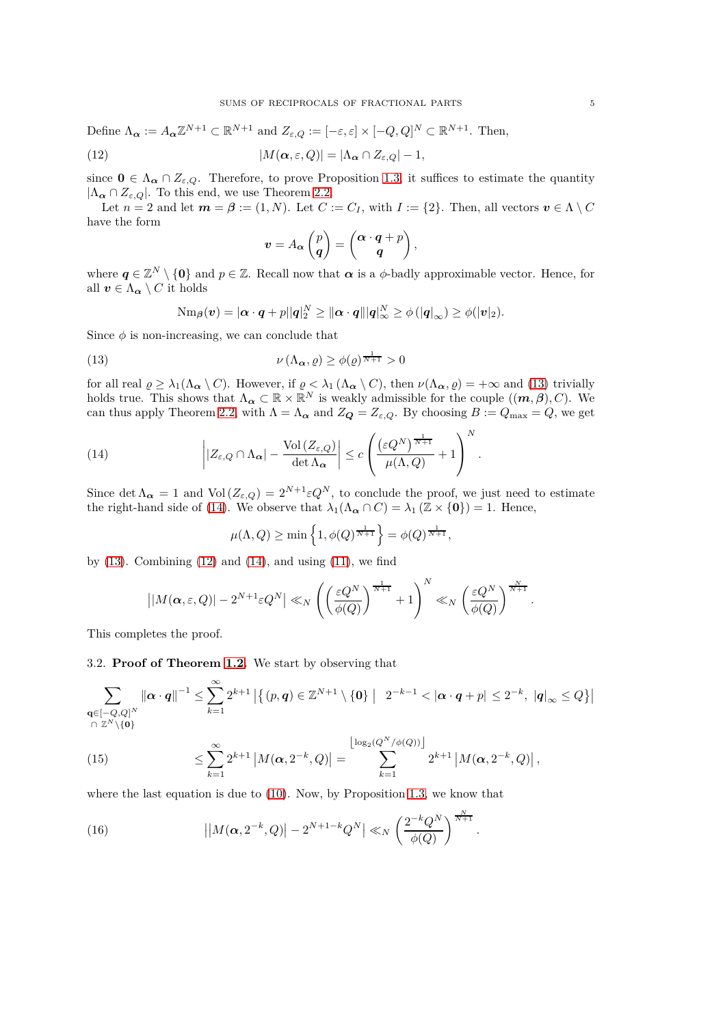Define  $\Lambda_{\alpha} := A_{\alpha} \mathbb{Z}^{N+1} \subset \mathbb{R}^{N+1}$  and  $Z_{\varepsilon,Q} := [-\varepsilon, \varepsilon] \times [-Q, Q]^N \subset \mathbb{R}^{N+1}$ . Then,

(12) 
$$
|M(\alpha,\varepsilon,Q)|=|\Lambda_{\alpha}\cap Z_{\varepsilon,Q}|-1,
$$

since  $\mathbf{0} \in \Lambda_{\alpha} \cap Z_{\varepsilon,Q}$ . Therefore, to prove Proposition [1.3,](#page-2-2) it suffices to estimate the quantity  $|\Lambda_{\alpha} \cap Z_{\varepsilon,Q}|$ . To this end, we use Theorem [2.2.](#page-3-2)

Let  $n = 2$  and let  $m = \beta := (1, N)$ . Let  $C := C_I$ , with  $I := \{2\}$ . Then, all vectors  $v \in \Lambda \setminus C$ have the form

<span id="page-4-2"></span>
$$
\mathbf{v} = A_{\alpha} \begin{pmatrix} p \\ \mathbf{q} \end{pmatrix} = \begin{pmatrix} \alpha \cdot \mathbf{q} + p \\ \mathbf{q} \end{pmatrix},
$$

where  $q \in \mathbb{Z}^N \setminus \{0\}$  and  $p \in \mathbb{Z}$ . Recall now that  $\alpha$  is a  $\phi$ -badly approximable vector. Hence, for all  $v \in \Lambda_{\alpha} \setminus C$  it holds

<span id="page-4-0"></span>
$$
\mathrm{Nm}_{\boldsymbol{\beta}}(\boldsymbol{v})=|\boldsymbol{\alpha}\cdot\boldsymbol{q}+\boldsymbol{p}||\boldsymbol{q}|_2^N\geq\|\boldsymbol{\alpha}\cdot\boldsymbol{q}\||\boldsymbol{q}|_\infty^N\geq\phi(|\boldsymbol{q}|_\infty)\geq\phi(|\boldsymbol{v}|_2).
$$

Since  $\phi$  is non-increasing, we can conclude that

(13) 
$$
\nu(\Lambda_{\alpha}, \varrho) \geq \phi(\varrho)^{\frac{1}{N+1}} > 0
$$

for all real  $\varrho \geq \lambda_1(\Lambda_{\alpha} \setminus C)$ . However, if  $\varrho < \lambda_1(\Lambda_{\alpha} \setminus C)$ , then  $\nu(\Lambda_{\alpha}, \varrho) = +\infty$  and [\(13\)](#page-4-0) trivially holds true. This shows that  $\Lambda_{\alpha} \subset \mathbb{R} \times \mathbb{R}^N$  is weakly admissible for the couple  $((m, \beta), C)$ . We can thus apply Theorem [2.2,](#page-3-2) with  $\Lambda = \Lambda_{\alpha}$  and  $Z_{\mathbf{Q}} = Z_{\varepsilon,Q}$ . By choosing  $B := Q_{\max} = Q$ , we get

(14) 
$$
\left| |Z_{\varepsilon,Q} \cap \Lambda_{\alpha}| - \frac{\text{Vol}(Z_{\varepsilon,Q})}{\det \Lambda_{\alpha}} \right| \leq c \left( \frac{(\varepsilon Q^N)^{\frac{1}{N+1}}}{\mu(\Lambda,Q)} + 1 \right)^N.
$$

Since det  $\Lambda_{\alpha} = 1$  and Vol  $(Z_{\varepsilon,Q}) = 2^{N+1} \varepsilon Q^N$ , to conclude the proof, we just need to estimate the right-hand side of [\(14\)](#page-4-1). We observe that  $\lambda_1(\Lambda_{\alpha} \cap C) = \lambda_1 (\mathbb{Z} \times \{0\}) = 1$ . Hence,

<span id="page-4-1"></span>
$$
\mu(\Lambda, Q) \ge \min\left\{1, \phi(Q)^{\frac{1}{N+1}}\right\} = \phi(Q)^{\frac{1}{N+1}},
$$

by  $(13)$ . Combining  $(12)$  and  $(14)$ , and using  $(11)$ , we find

$$
\left| |M(\alpha,\varepsilon,Q)| - 2^{N+1} \varepsilon Q^N \right| \ll_N \left( \left( \frac{\varepsilon Q^N}{\phi(Q)} \right)^{\frac{1}{N+1}} + 1 \right)^N \ll_N \left( \frac{\varepsilon Q^N}{\phi(Q)} \right)^{\frac{N}{N+1}}.
$$

This completes the proof.

3.2. **Proof of Theorem [1.2.](#page-1-2)** We start by observing that

$$
\sum_{\substack{\mathbf{q} \in [-Q,Q]^N \\ |\Omega| \geq N}} \left\| \boldsymbol{\alpha} \cdot \boldsymbol{q} \right\|^{-1} \leq \sum_{k=1}^{\infty} 2^{k+1} \left| \left\{ (p, \boldsymbol{q}) \in \mathbb{Z}^{N+1} \setminus \{ \boldsymbol{0} \} \; \middle| \; 2^{-k-1} < |\boldsymbol{\alpha} \cdot \boldsymbol{q} + p| \leq 2^{-k}, \ | \boldsymbol{q} |_{\infty} \leq Q \right\} \right|
$$

<span id="page-4-3"></span>(15) 
$$
\leq \sum_{k=1}^{\infty} 2^{k+1} |M(\alpha, 2^{-k}, Q)| = \sum_{k=1}^{\lfloor \log_2(Q^N/\phi(Q)) \rfloor} 2^{k+1} |M(\alpha, 2^{-k}, Q)|,
$$

where the last equation is due to  $(10)$ . Now, by Proposition [1.3,](#page-2-2) we know that

(16) 
$$
\left| \left| M(\alpha, 2^{-k}, Q) \right| - 2^{N+1-k} Q^N \right| \ll_N \left( \frac{2^{-k} Q^N}{\phi(Q)} \right)^{\frac{N}{N+1}}.
$$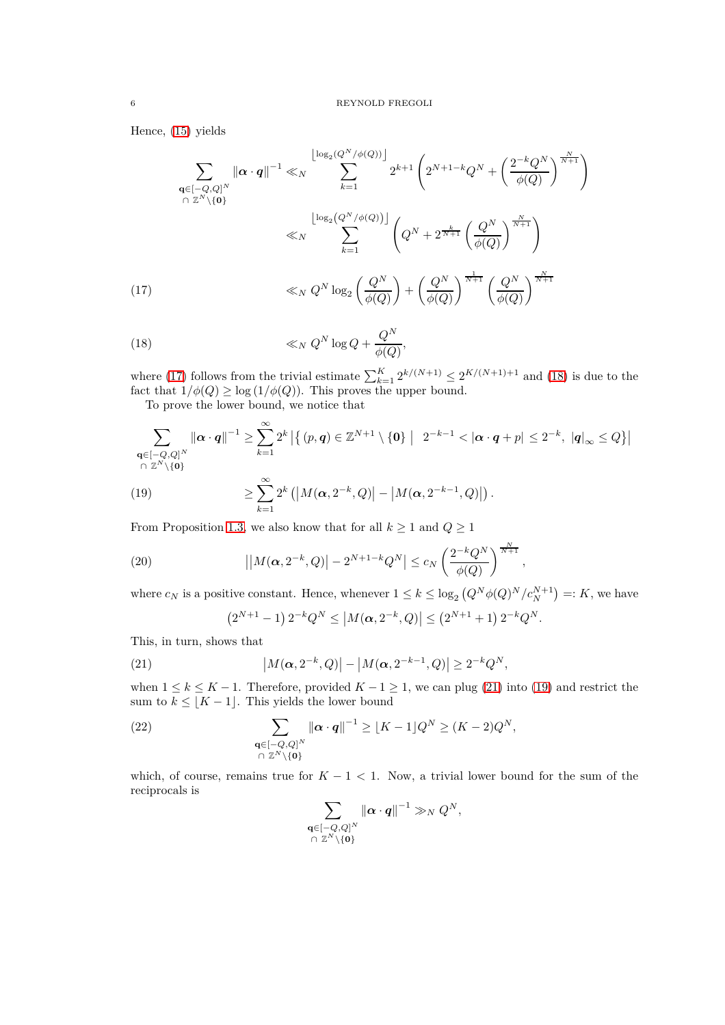Hence, [\(15\)](#page-4-3) yields

$$
\sum_{\substack{\mathbf{q} \in [-Q,Q]^N \\ \cap Z^N \setminus \{\mathbf{0}\}}} \|\alpha \cdot \mathbf{q}\|^{-1} \ll_N \sum_{k=1}^{\lfloor \log_2(Q^N/\phi(Q)) \rfloor} 2^{k+1} \left( 2^{N+1-k} Q^N + \left( \frac{2^{-k} Q^N}{\phi(Q)} \right)^{\frac{N}{N+1}} \right)
$$
\n
$$
\ll_N \sum_{k=1}^{\lfloor \log_2(Q^N/\phi(Q)) \rfloor} \left( Q^N + 2^{\frac{k}{N+1}} \left( \frac{Q^N}{\phi(Q)} \right)^{\frac{N}{N+1}} \right)
$$
\n
$$
\ll_N Q^N \log_2\left( \frac{Q^N}{\phi(Q)} \right) + \left( \frac{Q^N}{\phi(Q)} \right)^{\frac{1}{N+1}} \left( \frac{Q^N}{\phi(Q)} \right)^{\frac{N}{N+1}}
$$
\n(17)

<span id="page-5-1"></span><span id="page-5-0"></span>(18) 
$$
\ll_N Q^N \log Q + \frac{Q^N}{\phi(Q)},
$$

where [\(17\)](#page-5-0) follows from the trivial estimate  $\sum_{k=1}^{K} 2^{k/(N+1)} \leq 2^{K/(N+1)+1}$  and [\(18\)](#page-5-1) is due to the fact that  $1/\phi(Q) \geq \log(1/\phi(Q))$ . This proves the upper bound.

To prove the lower bound, we notice that

$$
\sum_{\substack{\mathbf{q} \in [-Q,Q]^N \\ \cap \mathbb{Z}^N \setminus \{\mathbf{0}\}}} \|\boldsymbol{\alpha} \cdot \boldsymbol{q}\|^{-1} \ge \sum_{k=1}^{\infty} 2^k \left| \left\{ (p, \boldsymbol{q}) \in \mathbb{Z}^{N+1} \setminus \{\mathbf{0}\} \mid 2^{-k-1} < |\boldsymbol{\alpha} \cdot \boldsymbol{q} + p| \le 2^{-k}, \ |\boldsymbol{q}|_{\infty} \le Q \right\} \right|
$$
\n
$$
\le 19
$$
\n
$$
\sum_{k=1}^{\infty} 2^k \left( |M(\boldsymbol{\alpha}, 2^{-k}, Q)| - |M(\boldsymbol{\alpha}, 2^{-k-1}, Q)| \right).
$$

<span id="page-5-3"></span>(19) 
$$
\geq \sum_{k=1}^{\infty} 2^k \left( \left| M(\boldsymbol{\alpha}, 2^{-k}, Q) \right| - \left| M(\boldsymbol{\alpha}, 2^{-k-1}, Q) \right| \right).
$$

From Proposition [1.3,](#page-2-2) we also know that for all  $k \geq 1$  and  $Q \geq 1$ 

(20) 
$$
||M(\alpha, 2^{-k}, Q)| - 2^{N+1-k} Q^N| \leq c_N \left(\frac{2^{-k} Q^N}{\phi(Q)}\right)^{\frac{N}{N+1}},
$$

where  $c_N$  is a positive constant. Hence, whenever  $1 \leq k \leq \log_2 (Q^N \phi(Q)^N / c_N^{N+1}) =: K$ , we have

<span id="page-5-2"></span>
$$
(2^{N+1}-1) 2^{-k} Q^N \leq |M(\alpha, 2^{-k}, Q)| \leq (2^{N+1}+1) 2^{-k} Q^N.
$$

This, in turn, shows that

(21) 
$$
|M(\alpha, 2^{-k}, Q)| - |M(\alpha, 2^{-k-1}, Q)| \ge 2^{-k} Q^N,
$$

when  $1 \leq k \leq K - 1$ . Therefore, provided  $K - 1 \geq 1$ , we can plug [\(21\)](#page-5-2) into [\(19\)](#page-5-3) and restrict the sum to  $k \leq [K-1]$ . This yields the lower bound

(22) 
$$
\sum_{\substack{\mathbf{q} \in [-Q,Q]^N \\ \cap \mathbb{Z}^N \setminus \{\mathbf{0}\}}} \|\mathbf{\alpha} \cdot \mathbf{q}\|^{-1} \ge [K-1]Q^N \ge (K-2)Q^N,
$$

which, of course, remains true for  $K - 1 < 1$ . Now, a trivial lower bound for the sum of the reciprocals is

$$
\sum_{\substack{\mathbf{q}\in[-Q,Q]^N\\ \cap \ \mathbb{Z}^N\setminus\{\mathbf{0}\}}}\|\boldsymbol{\alpha}\cdot\boldsymbol{q}\|^{-1}\gg_N Q^N,
$$